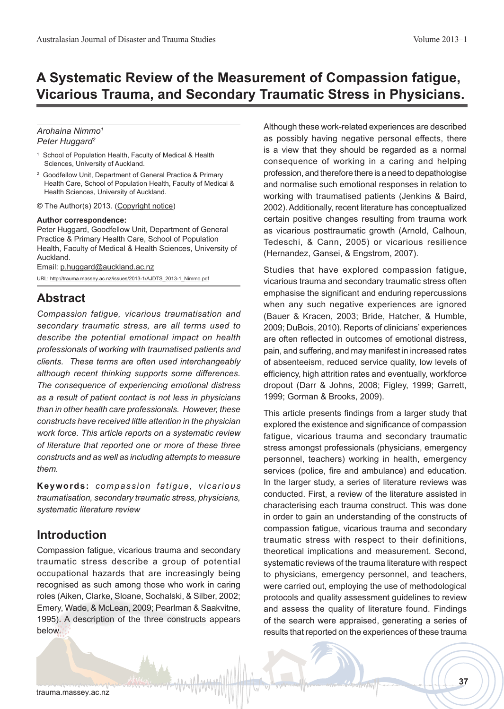# **A Systematic Review of the Measurement of Compassion fatigue, Vicarious Trauma, and Secondary Traumatic Stress in Physicians.**

### *Arohaina Nimmo1 Peter Huggard2*

- 1 School of Population Health, Faculty of Medical & Health Sciences, University of Auckland.
- 2 Goodfellow Unit, Department of General Practice & Primary Health Care, School of Population Health, Faculty of Medical & Health Sciences, University of Auckland.
- © The Author(s) 2013. (Copyright notice)

### **Author correspondence:**

Peter Huggard, Goodfellow Unit, Department of General Practice & Primary Health Care, School of Population Health, Faculty of Medical & Health Sciences, University of Auckland.

Email: [p.huggard@auckland.ac.nz](mailto:p.huggard%40auckland.ac.nz?subject=AJDTS%20-%20Compassion%20fatigue)

URL: [http://trauma.massey.ac.nz/issues/2013-1/AJDTS\\_2013-1\\_Nimmo.pdf](http://trauma.massey.ac.nz/issues/2013-1/AJDTS_2013-1_Nimmo.pdf)

### **Abstract**

*Compassion fatigue, vicarious traumatisation and secondary traumatic stress, are all terms used to describe the potential emotional impact on health professionals of working with traumatised patients and clients. These terms are often used interchangeably although recent thinking supports some differences. The consequence of experiencing emotional distress as a result of patient contact is not less in physicians than in other health care professionals. However, these constructs have received little attention in the physician work force. This article reports on a systematic review of literature that reported one or more of these three constructs and as well as including attempts to measure them.* 

**Keywords:** *compassion fatigue, vicarious traumatisation, secondary traumatic stress, physicians, systematic literature review*

## **Introduction**

Compassion fatigue, vicarious trauma and secondary traumatic stress describe a group of potential occupational hazards that are increasingly being recognised as such among those who work in caring roles (Aiken, Clarke, Sloane, Sochalski, & Silber, 2002; Emery, Wade, & McLean, 2009; Pearlman & Saakvitne, 1995). A description of the three constructs appears below.

Although these work-related experiences are described as possibly having negative personal effects, there is a view that they should be regarded as a normal consequence of working in a caring and helping profession, and therefore there is a need to depathologise and normalise such emotional responses in relation to working with traumatised patients (Jenkins & Baird, 2002). Additionally, recent literature has conceptualized certain positive changes resulting from trauma work as vicarious posttraumatic growth (Arnold, Calhoun, Tedeschi, & Cann, 2005) or vicarious resilience (Hernandez, Gansei, & Engstrom, 2007).

Studies that have explored compassion fatigue, vicarious trauma and secondary traumatic stress often emphasise the significant and enduring repercussions when any such negative experiences are ignored (Bauer & Kracen, 2003; Bride, Hatcher, & Humble, 2009; DuBois, 2010). Reports of clinicians' experiences are often reflected in outcomes of emotional distress, pain, and suffering, and may manifest in increased rates of absenteeism, reduced service quality, low levels of efficiency, high attrition rates and eventually, workforce dropout (Darr & Johns, 2008; Figley, 1999; Garrett, 1999; Gorman & Brooks, 2009).

This article presents findings from a larger study that explored the existence and significance of compassion fatigue, vicarious trauma and secondary traumatic stress amongst professionals (physicians, emergency personnel, teachers) working in health, emergency services (police, fire and ambulance) and education. In the larger study, a series of literature reviews was conducted. First, a review of the literature assisted in characterising each trauma construct. This was done in order to gain an understanding of the constructs of compassion fatigue, vicarious trauma and secondary traumatic stress with respect to their definitions, theoretical implications and measurement. Second, systematic reviews of the trauma literature with respect to physicians, emergency personnel, and teachers, were carried out, employing the use of methodological protocols and quality assessment guidelines to review and assess the quality of literature found. Findings of the search were appraised, generating a series of results that reported on the experiences of these trauma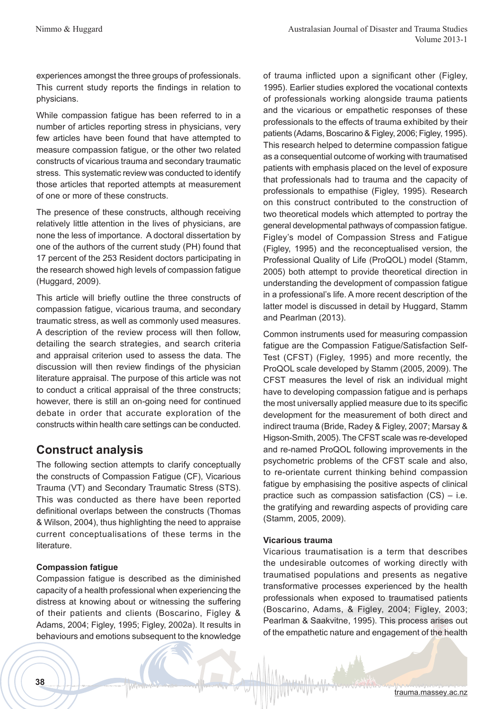experiences amongst the three groups of professionals. This current study reports the findings in relation to physicians.

While compassion fatigue has been referred to in a number of articles reporting stress in physicians, very few articles have been found that have attempted to measure compassion fatigue, or the other two related constructs of vicarious trauma and secondary traumatic stress. This systematic review was conducted to identify those articles that reported attempts at measurement of one or more of these constructs.

The presence of these constructs, although receiving relatively little attention in the lives of physicians, are none the less of importance. A doctoral dissertation by one of the authors of the current study (PH) found that 17 percent of the 253 Resident doctors participating in the research showed high levels of compassion fatigue (Huggard, 2009).

This article will briefly outline the three constructs of compassion fatigue, vicarious trauma, and secondary traumatic stress, as well as commonly used measures. A description of the review process will then follow, detailing the search strategies, and search criteria and appraisal criterion used to assess the data. The discussion will then review findings of the physician literature appraisal. The purpose of this article was not to conduct a critical appraisal of the three constructs; however, there is still an on-going need for continued debate in order that accurate exploration of the constructs within health care settings can be conducted.

## **Construct analysis**

The following section attempts to clarify conceptually the constructs of Compassion Fatigue (CF), Vicarious Trauma (VT) and Secondary Traumatic Stress (STS). This was conducted as there have been reported definitional overlaps between the constructs (Thomas & Wilson, 2004), thus highlighting the need to appraise current conceptualisations of these terms in the literature.

### **Compassion fatigue**

Compassion fatigue is described as the diminished capacity of a health professional when experiencing the distress at knowing about or witnessing the suffering of their patients and clients (Boscarino, Figley & Adams, 2004; Figley, 1995; Figley, 2002a). It results in behaviours and emotions subsequent to the knowledge

of trauma inflicted upon a significant other (Figley, 1995). Earlier studies explored the vocational contexts of professionals working alongside trauma patients and the vicarious or empathetic responses of these professionals to the effects of trauma exhibited by their patients (Adams, Boscarino & Figley, 2006; Figley, 1995). This research helped to determine compassion fatigue as a consequential outcome of working with traumatised patients with emphasis placed on the level of exposure that professionals had to trauma and the capacity of professionals to empathise (Figley, 1995). Research on this construct contributed to the construction of two theoretical models which attempted to portray the general developmental pathways of compassion fatigue. Figley's model of Compassion Stress and Fatigue (Figley, 1995) and the reconceptualised version, the Professional Quality of Life (ProQOL) model (Stamm, 2005) both attempt to provide theoretical direction in understanding the development of compassion fatigue in a professional's life. A more recent description of the latter model is discussed in detail by Huggard, Stamm and Pearlman (2013).

Common instruments used for measuring compassion fatigue are the Compassion Fatigue/Satisfaction Self-Test (CFST) (Figley, 1995) and more recently, the ProQOL scale developed by Stamm (2005, 2009). The CFST measures the level of risk an individual might have to developing compassion fatigue and is perhaps the most universally applied measure due to its specific development for the measurement of both direct and indirect trauma (Bride, Radey & Figley, 2007; Marsay & Higson-Smith, 2005). The CFST scale was re-developed and re-named ProQOL following improvements in the psychometric problems of the CFST scale and also, to re-orientate current thinking behind compassion fatigue by emphasising the positive aspects of clinical practice such as compassion satisfaction (CS) – i.e. the gratifying and rewarding aspects of providing care (Stamm, 2005, 2009).

### **Vicarious trauma**

Vicarious traumatisation is a term that describes the undesirable outcomes of working directly with traumatised populations and presents as negative transformative processes experienced by the health professionals when exposed to traumatised patients (Boscarino, Adams, & Figley, 2004; Figley, 2003; Pearlman & Saakvitne, 1995). This process arises out of the empathetic nature and engagement of the health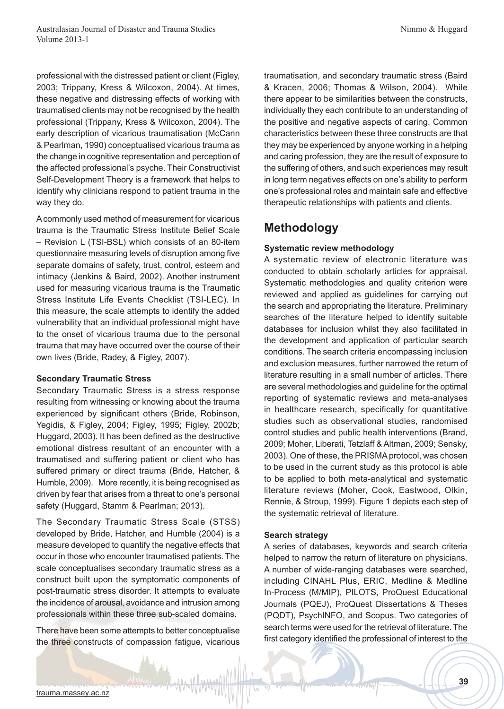professional with the distressed patient or client (Figley, 2003; Trippany, Kress & Wilcoxon, 2004). At times, these negative and distressing effects of working with traumatised clients may not be recognised by the health professional (Trippany, Kress & Wilcoxon, 2004). The early description of vicarious traumatisation (McCann & Pearlman, 1990) conceptualised vicarious trauma as the change in cognitive representation and perception of the affected professional's psyche. Their Constructivist Self-Development Theory is a framework that helps to identify why clinicians respond to patient trauma in the way they do.

A commonly used method of measurement for vicarious trauma is the Traumatic Stress Institute Belief Scale – Revision L (TSI-BSL) which consists of an 80-item questionnaire measuring levels of disruption among five separate domains of safety, trust, control, esteem and intimacy (Jenkins & Baird, 2002). Another instrument used for measuring vicarious trauma is the Traumatic Stress Institute Life Events Checklist (TSI-LEC). In this measure, the scale attempts to identify the added vulnerability that an individual professional might have to the onset of vicarious trauma due to the personal trauma that may have occurred over the course of their own lives (Bride, Radey, & Figley, 2007).

#### **Secondary Traumatic Stress**

Secondary Traumatic Stress is a stress response resulting from witnessing or knowing about the trauma experienced by significant others (Bride, Robinson, Yegidis, & Figley, 2004; Figley, 1995; Figley, 2002b; Huggard, 2003). It has been defined as the destructive emotional distress resultant of an encounter with a traumatised and suffering patient or client who has suffered primary or direct trauma (Bride, Hatcher, & Humble, 2009). More recently, it is being recognised as driven by fear that arises from a threat to one's personal safety (Huggard, Stamm & Pearlman; 2013).

The Secondary Traumatic Stress Scale (STSS) developed by Bride, Hatcher, and Humble (2004) is a measure developed to quantify the negative effects that occur in those who encounter traumatised patients. The scale conceptualises secondary traumatic stress as a construct built upon the symptomatic components of post-traumatic stress disorder. It attempts to evaluate the incidence of arousal, avoidance and intrusion among professionals within these three sub-scaled domains.

There have been some attempts to better conceptualise the three constructs of compassion fatigue, vicarious traumatisation, and secondary traumatic stress (Baird & Kracen, 2006; Thomas & Wilson, 2004). While there appear to be similarities between the constructs, individually they each contribute to an understanding of the positive and negative aspects of caring. Common characteristics between these three constructs are that they may be experienced by anyone working in a helping and caring profession, they are the result of exposure to the suffering of others, and such experiences may result in long term negatives effects on one's ability to perform one's professional roles and maintain safe and effective therapeutic relationships with patients and clients.

## **Methodology**

### **Systematic review methodology**

A systematic review of electronic literature was conducted to obtain scholarly articles for appraisal. Systematic methodologies and quality criterion were reviewed and applied as guidelines for carrying out the search and appropriating the literature. Preliminary searches of the literature helped to identify suitable databases for inclusion whilst they also facilitated in the development and application of particular search conditions. The search criteria encompassing inclusion and exclusion measures, further narrowed the return of literature resulting in a small number of articles. There are several methodologies and guideline for the optimal reporting of systematic reviews and meta-analyses in healthcare research, specifically for quantitative studies such as observational studies, randomised control studies and public health interventions (Brand, 2009; Moher, Liberati, Tetzlaff & Altman, 2009; Sensky, 2003). One of these, the PRISMA protocol, was chosen to be used in the current study as this protocol is able to be applied to both meta-analytical and systematic literature reviews (Moher, Cook, Eastwood, Olkin, Rennie, & Stroup, 1999). Figure 1 depicts each step of the systematic retrieval of literature.

### **Search strategy**

A series of databases, keywords and search criteria helped to narrow the return of literature on physicians. A number of wide-ranging databases were searched, including CINAHL Plus, ERIC, Medline & Medline In-Process (M/MIP), PILOTS, ProQuest Educational Journals (PQEJ), ProQuest Dissertations & Theses (PQDT), PsychINFO, and Scopus. Two categories of search terms were used for the retrieval of literature. The first category identified the professional of interest to the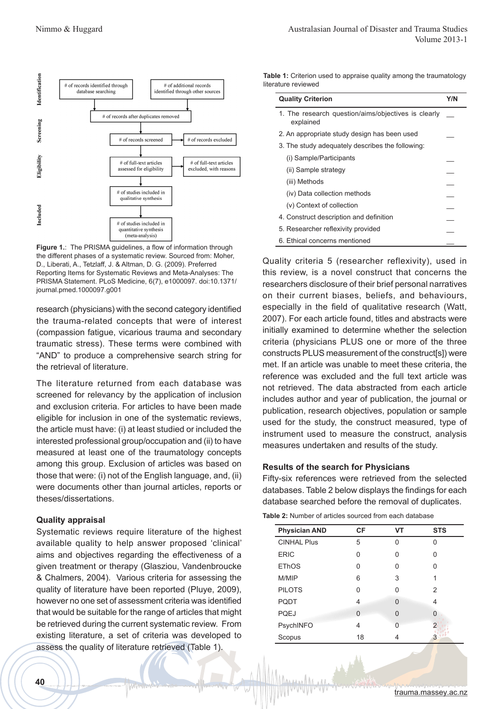

**Figure 1.**: The PRISMA guidelines, a flow of information through the different phases of a systematic review. Sourced from: Moher, D., Liberati, A., Tetzlaff, J. & Altman, D. G. (2009). Preferred Reporting Items for Systematic Reviews and Meta-Analyses: The PRISMA Statement. PLoS Medicine, 6(7), e1000097. doi:10.1371/ journal.pmed.1000097.g001

research (physicians) with the second category identified the trauma-related concepts that were of interest (compassion fatigue, vicarious trauma and secondary traumatic stress). These terms were combined with "AND" to produce a comprehensive search string for the retrieval of literature.

The literature returned from each database was screened for relevancy by the application of inclusion and exclusion criteria. For articles to have been made eligible for inclusion in one of the systematic reviews, the article must have: (i) at least studied or included the interested professional group/occupation and (ii) to have measured at least one of the traumatology concepts among this group. Exclusion of articles was based on those that were: (i) not of the English language, and, (ii) were documents other than journal articles, reports or theses/dissertations.

### **Quality appraisal**

Systematic reviews require literature of the highest available quality to help answer proposed 'clinical' aims and objectives regarding the effectiveness of a given treatment or therapy (Glasziou, Vandenbroucke & Chalmers, 2004). Various criteria for assessing the quality of literature have been reported (Pluye, 2009), however no one set of assessment criteria was identified that would be suitable for the range of articles that might be retrieved during the current systematic review. From existing literature, a set of criteria was developed to assess the quality of literature retrieved (Table 1).

**Table 1:** Criterion used to appraise quality among the traumatology literature reviewed

| <b>Quality Criterion</b>                                         | Y/N |
|------------------------------------------------------------------|-----|
| 1. The research question/aims/objectives is clearly<br>explained |     |
| 2. An appropriate study design has been used                     |     |
| 3. The study adequately describes the following:                 |     |
| (i) Sample/Participants                                          |     |
| (ii) Sample strategy                                             |     |
| (iii) Methods                                                    |     |
| (iv) Data collection methods                                     |     |
| (v) Context of collection                                        |     |
| 4. Construct description and definition                          |     |
| 5. Researcher reflexivity provided                               |     |
| 6. Ethical concerns mentioned                                    |     |

Quality criteria 5 (researcher reflexivity), used in this review, is a novel construct that concerns the researchers disclosure of their brief personal narratives on their current biases, beliefs, and behaviours, especially in the field of qualitative research (Watt, 2007). For each article found, titles and abstracts were initially examined to determine whether the selection criteria (physicians PLUS one or more of the three constructs PLUS measurement of the construct[s]) were met. If an article was unable to meet these criteria, the reference was excluded and the full text article was not retrieved. The data abstracted from each article includes author and year of publication, the journal or publication, research objectives, population or sample used for the study, the construct measured, type of instrument used to measure the construct, analysis measures undertaken and results of the study.

#### **Results of the search for Physicians**

Fifty-six references were retrieved from the selected databases. Table 2 below displays the findings for each database searched before the removal of duplicates.

**Table 2:** Number of articles sourced from each database

| <b>Physician AND</b> | <b>CF</b>    | <b>VT</b> | <b>STS</b> |
|----------------------|--------------|-----------|------------|
| <b>CINHAL Plus</b>   | 5            | U         | U          |
| <b>ERIC</b>          | U            | U         | U          |
| <b>EThOS</b>         | U            | U         | Ω          |
| M/MIP                | 6            | 3         |            |
| <b>PILOTS</b>        | U            | O         | 2          |
| PQDT                 | 4            | $\Omega$  | 4          |
| <b>PQEJ</b>          | <sup>0</sup> | $\Omega$  | O          |
| PsychINFO            | 4            | U         |            |
| Scopus               | 18           |           |            |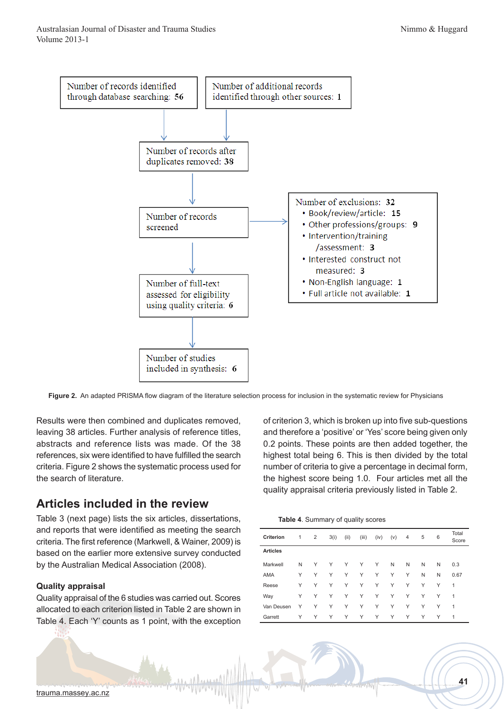

**Figure 2.** An adapted PRISMA flow diagram of the literature selection process for inclusion in the systematic review for Physicians

Results were then combined and duplicates removed, leaving 38 articles. Further analysis of reference titles, abstracts and reference lists was made. Of the 38 references, six were identified to have fulfilled the search criteria. Figure 2 shows the systematic process used for the search of literature.

## **Articles included in the review**

Table 3 (next page) lists the six articles, dissertations, and reports that were identified as meeting the search criteria. The first reference (Markwell, & Wainer, 2009) is based on the earlier more extensive survey conducted by the Australian Medical Association (2008).

### **Quality appraisal**

Quality appraisal of the 6 studies was carried out. Scores allocated to each criterion listed in Table 2 are shown in Table 4. Each 'Y' counts as 1 point, with the exception

of criterion 3, which is broken up into five sub-questions and therefore a 'positive' or 'Yes' score being given only 0.2 points. These points are then added together, the highest total being 6. This is then divided by the total number of criteria to give a percentage in decimal form, the highest score being 1.0. Four articles met all the quality appraisal criteria previously listed in Table 2.

| Table 4. Summary of quality scores |  |  |  |
|------------------------------------|--|--|--|
|------------------------------------|--|--|--|

|                  |   |   | ◢    | -1 - - | - 1   |      |     |   |   |   |                |
|------------------|---|---|------|--------|-------|------|-----|---|---|---|----------------|
| <b>Criterion</b> | 1 | 2 | 3(i) | (ii)   | (iii) | (iv) | (v) | 4 | 5 | 6 | Total<br>Score |
| <b>Articles</b>  |   |   |      |        |       |      |     |   |   |   |                |
| Markwell         | N | Υ | Υ    | Υ      | Υ     | Υ    | N   | N | N | N | 0.3            |
| <b>AMA</b>       | Υ | Υ | Υ    | Υ      | Υ     | Υ    | Υ   | Υ | N | N | 0.67           |
| Reese            | Υ | Υ | Υ    | Υ      | Υ     | Υ    | Υ   | Υ | Υ | Υ | 1              |
| Way              | Υ | Υ | Υ    | Υ      | Υ     | Υ    | Υ   | Υ | Υ | Υ | 1              |
| Van Deusen       | Υ | Υ | Υ    | Υ      | Υ     | Υ    | Υ   | Υ | Υ | Υ | 1              |
| Garrett          | Υ | Υ | Υ    | Υ      | Υ     | Υ    | Υ   | Υ | Υ | Υ | 1              |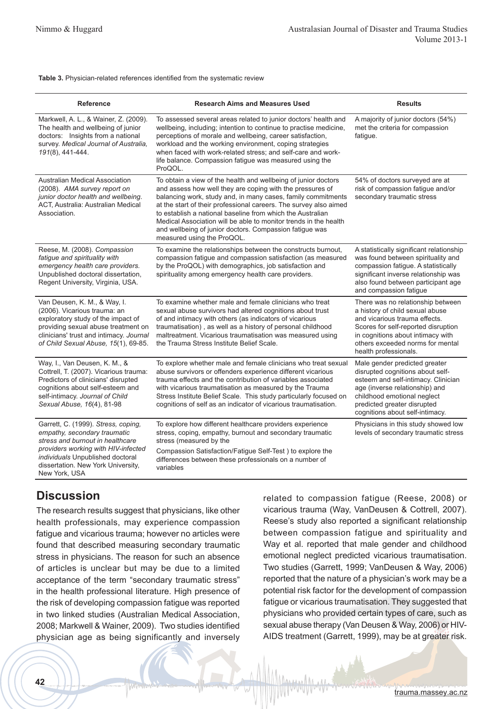#### **Table 3.** Physician-related references identified from the systematic review

| <b>Reference</b>                                                                                                                                                                                                                          | <b>Research Aims and Measures Used</b>                                                                                                                                                                                                                                                                                                                                                                                                                                                      | <b>Results</b>                                                                                                                                                                                                                                 |  |  |
|-------------------------------------------------------------------------------------------------------------------------------------------------------------------------------------------------------------------------------------------|---------------------------------------------------------------------------------------------------------------------------------------------------------------------------------------------------------------------------------------------------------------------------------------------------------------------------------------------------------------------------------------------------------------------------------------------------------------------------------------------|------------------------------------------------------------------------------------------------------------------------------------------------------------------------------------------------------------------------------------------------|--|--|
| Markwell, A. L., & Wainer, Z. (2009).<br>The health and wellbeing of junior<br>doctors: Insights from a national<br>survey. Medical Journal of Australia,<br>191(8), 441-444.                                                             | To assessed several areas related to junior doctors' health and<br>wellbeing, including; intention to continue to practise medicine,<br>perceptions of morale and wellbeing, career satisfaction,<br>workload and the working environment, coping strategies<br>when faced with work-related stress; and self-care and work-<br>life balance. Compassion fatigue was measured using the<br>ProQOL.                                                                                          | A majority of junior doctors (54%)<br>met the criteria for compassion<br>fatigue.                                                                                                                                                              |  |  |
| <b>Australian Medical Association</b><br>(2008). AMA survey report on<br>junior doctor health and wellbeing.<br>ACT, Australia: Australian Medical<br>Association.                                                                        | To obtain a view of the health and wellbeing of junior doctors<br>and assess how well they are coping with the pressures of<br>balancing work, study and, in many cases, family commitments<br>at the start of their professional careers. The survey also aimed<br>to establish a national baseline from which the Australian<br>Medical Association will be able to monitor trends in the health<br>and wellbeing of junior doctors. Compassion fatigue was<br>measured using the ProQOL. | 54% of doctors surveyed are at<br>risk of compassion fatigue and/or<br>secondary traumatic stress                                                                                                                                              |  |  |
| Reese, M. (2008). Compassion<br>fatigue and spirituality with<br>emergency health care providers.<br>Unpublished doctoral dissertation,<br>Regent University, Virginia, USA.                                                              | To examine the relationships between the constructs burnout,<br>compassion fatigue and compassion satisfaction (as measured<br>by the ProQOL) with demographics, job satisfaction and<br>spirituality among emergency health care providers.                                                                                                                                                                                                                                                | A statistically significant relationship<br>was found between spirituality and<br>compassion fatigue. A statistically<br>significant inverse relationship was<br>also found between participant age<br>and compassion fatigue                  |  |  |
| Van Deusen, K. M., & Way, I.<br>(2006). Vicarious trauma: an<br>exploratory study of the impact of<br>providing sexual abuse treatment on<br>clinicians' trust and intimacy. Journal<br>of Child Sexual Abuse, 15(1), 69-85.              | To examine whether male and female clinicians who treat<br>sexual abuse survivors had altered cognitions about trust<br>of and intimacy with others (as indicators of vicarious<br>traumatisation), as well as a history of personal childhood<br>maltreatment. Vicarious traumatisation was measured using<br>the Trauma Stress Institute Belief Scale.                                                                                                                                    | There was no relationship between<br>a history of child sexual abuse<br>and vicarious trauma effects.<br>Scores for self-reported disruption<br>in cognitions about intimacy with<br>others exceeded norms for mental<br>health professionals. |  |  |
| Way, I., Van Deusen, K. M., &<br>Cottrell, T. (2007). Vicarious trauma:<br>Predictors of clinicians' disrupted<br>cognitions about self-esteem and<br>self-intimacy. Journal of Child<br>Sexual Abuse, 16(4), 81-98                       | To explore whether male and female clinicians who treat sexual<br>abuse survivors or offenders experience different vicarious<br>trauma effects and the contribution of variables associated<br>with vicarious traumatisation as measured by the Trauma<br>Stress Institute Belief Scale. This study particularly focused on<br>cognitions of self as an indicator of vicarious traumatisation.                                                                                             | Male gender predicted greater<br>disrupted cognitions about self-<br>esteem and self-intimacy. Clinician<br>age (inverse relationship) and<br>childhood emotional neglect<br>predicted greater disrupted<br>cognitions about self-intimacy.    |  |  |
| Garrett, C. (1999). Stress, coping,<br>empathy, secondary traumatic<br>stress and burnout in healthcare<br>providers working with HIV-infected<br>individuals Unpublished doctoral<br>dissertation. New York University,<br>New York, USA | To explore how different healthcare providers experience<br>stress, coping, empathy, burnout and secondary traumatic<br>stress (measured by the<br>Compassion Satisfaction/Fatigue Self-Test ) to explore the<br>differences between these professionals on a number of<br>variables                                                                                                                                                                                                        | Physicians in this study showed low<br>levels of secondary traumatic stress                                                                                                                                                                    |  |  |

## **Discussion**

The research results suggest that physicians, like other health professionals, may experience compassion fatigue and vicarious trauma; however no articles were found that described measuring secondary traumatic stress in physicians. The reason for such an absence of articles is unclear but may be due to a limited acceptance of the term "secondary traumatic stress" in the health professional literature. High presence of the risk of developing compassion fatigue was reported in two linked studies (Australian Medical Association, 2008; Markwell & Wainer, 2009). Two studies identified physician age as being significantly and inversely related to compassion fatigue (Reese, 2008) or vicarious trauma (Way, VanDeusen & Cottrell, 2007). Reese's study also reported a significant relationship between compassion fatigue and spirituality and Way et al. reported that male gender and childhood emotional neglect predicted vicarious traumatisation. Two studies (Garrett, 1999; VanDeusen & Way, 2006) reported that the nature of a physician's work may be a potential risk factor for the development of compassion fatigue or vicarious traumatisation. They suggested that physicians who provided certain types of care, such as sexual abuse therapy (Van Deusen & Way, 2006) or HIV-AIDS treatment (Garrett, 1999), may be at greater risk.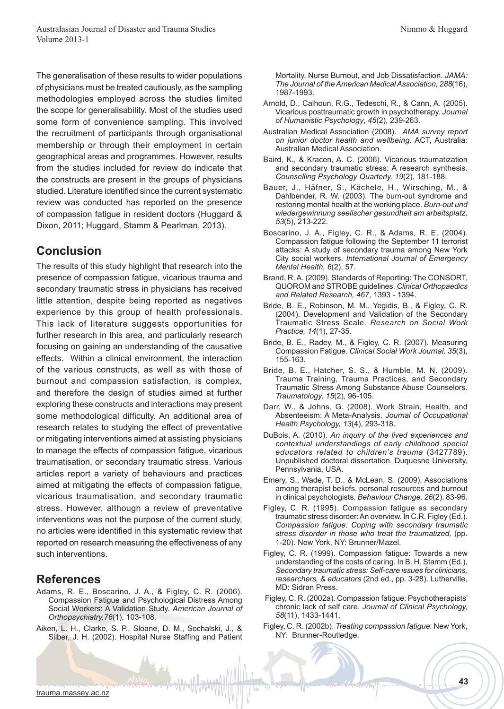The generalisation of these results to wider populations of physicians must be treated cautiously, as the sampling methodologies employed across the studies limited the scope for generalisability. Most of the studies used some form of convenience sampling. This involved the recruitment of participants through organisational membership or through their employment in certain geographical areas and programmes. However, results from the studies included for review do indicate that the constructs are present in the groups of physicians studied. Literature identified since the current systematic review was conducted has reported on the presence of compassion fatigue in resident doctors (Huggard & Dixon, 2011; Huggard, Stamm & Pearlman, 2013).

## **Conclusion**

The results of this study highlight that research into the presence of compassion fatigue, vicarious trauma and secondary traumatic stress in physicians has received little attention, despite being reported as negatives experience by this group of health professionals. This lack of literature suggests opportunities for further research in this area, and particularly research focusing on gaining an understanding of the causative effects. Within a clinical environment, the interaction of the various constructs, as well as with those of burnout and compassion satisfaction, is complex, and therefore the design of studies aimed at further exploring these constructs and interactions may present some methodological difficulty. An additional area of research relates to studying the effect of preventative or mitigating interventions aimed at assisting physicians to manage the effects of compassion fatigue, vicarious traumatisation, or secondary traumatic stress. Various articles report a variety of behaviours and practices aimed at mitigating the effects of compassion fatigue, vicarious traumatisation, and secondary traumatic stress. However, although a review of preventative interventions was not the purpose of the current study, no articles were identified in this systematic review that reported on research measuring the effectiveness of any such interventions.

### **References**

- Adams, R. E., Boscarino, J. A., & Figley, C. R. (2006). Compassion Fatigue and Psychological Distress Among Social Workers: A Validation Study. *American Journal of Orthopsychiatry,76*(1), 103-108.
- Aiken, L. H., Clarke, S. P., Sloane, D. M., Sochalski, J., & Silber, J. H. (2002). Hospital Nurse Staffing and Patient

Mortality, Nurse Burnout, and Job Dissatisfaction. *JAMA: The Journal of the American Medical Association, 288*(16), 1987-1993.

- Arnold, D., Calhoun, R.G., Tedeschi, R., & Cann, A. (2005). Vicarious posttraumatic growth in psychotherapy. *Journal of Humanistic Psychology*, *45*(2), 239-263.
- Australian Medical Association (2008). *AMA survey report on junior doctor health and wellbeing*. ACT, Australia: Australian Medical Association.
- Baird, K., & Kracen, A. C. (2006). Vicarious traumatization and secondary traumatic stress: A research synthesis. *Counselling Psychology Quarterly, 19*(2), 181-188.
- Bauer, J., Häfner, S., Kächele, H., Wirsching, M., & Dahlbender, R. W. (2003). The burn-out syndrome and restoring mental health at the working place. *Burn-out und wiedergewinnung seelischer gesundheit am arbeitsplatz, 53*(5), 213-222.
- Boscarino, J. A., Figley, C. R., & Adams, R. E. (2004). Compassion fatigue following the September 11 terrorist attacks: A study of secondary trauma among New York City social workers. *International Journal of Emergency Mental Health, 6*(2), 57.
- Brand, R. A. (2009). Standards of Reporting: The CONSORT, QUOROM and STROBE guidelines. *Clinical Orthopaedics and Related Research, 467*, 1393 - 1394.
- Bride, B. E., Robinson, M. M., Yegidis, B., & Figley, C. R. (2004). Development and Validation of the Secondary Traumatic Stress Scale. *Research on Social Work Practice, 14*(1), 27-35.
- Bride, B. E., Radey, M., & Figley, C. R. (2007). Measuring Compassion Fatigue. *Clinical Social Work Journal, 35*(3), 155-163.
- Bride, B. E., Hatcher, S. S., & Humble, M. N. (2009). Trauma Training, Trauma Practices, and Secondary Traumatic Stress Among Substance Abuse Counselors. *Traumatology, 15*(2), 96-105.
- Darr, W., & Johns, G. (2008). Work Strain, Health, and Absenteeism: A Meta-Analysis. *Journal of Occupational Health Psychology, 13*(4), 293-318.
- DuBois, A. (2010). *An inquiry of the lived experiences and contextual understandings of early childhood special educators related to children's trauma* (3427789). Unpublished doctoral dissertation. Duquesne University, Pennsylvania, USA.
- Emery, S., Wade, T. D., & McLean, S. (2009). Associations among therapist beliefs, personal resources and burnout in clinical psychologists. *Behaviour Change, 26*(2), 83-96.
- Figley, C. R. (1995). Compassion fatigue as secondary traumatic stress disorder: An overview. In C.R. Figley (Ed.). *Compassion fatigue: Coping with secondary traumatic stress disorder in those who treat the traumatized,* (pp. 1-20). New York, NY: Brunner/Mazel.
- Figley, C. R. (1999). Compassion fatigue: Towards a new understanding of the costs of caring. In B. H. Stamm (Ed.), *Secondary traumatic stress: Self-care issues for clinicians, researchers, & educators* (2nd ed., pp. 3-28). Lutherville, MD: Sidran Press.
- Figley, C. R. (2002a). Compassion fatigue: Psychotherapists' chronic lack of self care. *Journal of Clinical Psychology, 58*(11), 1433-1441.
- Figley, C. R. (2002b). *Treating compassion fatigue*: New York, NY: Brunner-Routledge.